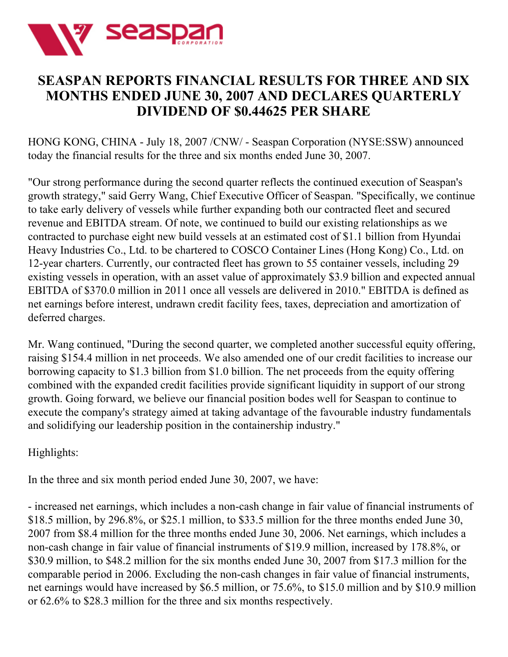

# **SEASPAN REPORTS FINANCIAL RESULTS FOR THREE AND SIX MONTHS ENDED JUNE 30, 2007 AND DECLARES QUARTERLY DIVIDEND OF \$0.44625 PER SHARE**

HONG KONG, CHINA - July 18, 2007 /CNW/ - Seaspan Corporation (NYSE:SSW) announced today the financial results for the three and six months ended June 30, 2007.

"Our strong performance during the second quarter reflects the continued execution of Seaspan's growth strategy," said Gerry Wang, Chief Executive Officer of Seaspan. "Specifically, we continue to take early delivery of vessels while further expanding both our contracted fleet and secured revenue and EBITDA stream. Of note, we continued to build our existing relationships as we contracted to purchase eight new build vessels at an estimated cost of \$1.1 billion from Hyundai Heavy Industries Co., Ltd. to be chartered to COSCO Container Lines (Hong Kong) Co., Ltd. on 12-year charters. Currently, our contracted fleet has grown to 55 container vessels, including 29 existing vessels in operation, with an asset value of approximately \$3.9 billion and expected annual EBITDA of \$370.0 million in 2011 once all vessels are delivered in 2010." EBITDA is defined as net earnings before interest, undrawn credit facility fees, taxes, depreciation and amortization of deferred charges.

Mr. Wang continued, "During the second quarter, we completed another successful equity offering, raising \$154.4 million in net proceeds. We also amended one of our credit facilities to increase our borrowing capacity to \$1.3 billion from \$1.0 billion. The net proceeds from the equity offering combined with the expanded credit facilities provide significant liquidity in support of our strong growth. Going forward, we believe our financial position bodes well for Seaspan to continue to execute the company's strategy aimed at taking advantage of the favourable industry fundamentals and solidifying our leadership position in the containership industry."

Highlights:

In the three and six month period ended June 30, 2007, we have:

- increased net earnings, which includes a non-cash change in fair value of financial instruments of \$18.5 million, by 296.8%, or \$25.1 million, to \$33.5 million for the three months ended June 30, 2007 from \$8.4 million for the three months ended June 30, 2006. Net earnings, which includes a non-cash change in fair value of financial instruments of \$19.9 million, increased by 178.8%, or \$30.9 million, to \$48.2 million for the six months ended June 30, 2007 from \$17.3 million for the comparable period in 2006. Excluding the non-cash changes in fair value of financial instruments, net earnings would have increased by \$6.5 million, or 75.6%, to \$15.0 million and by \$10.9 million or 62.6% to \$28.3 million for the three and six months respectively.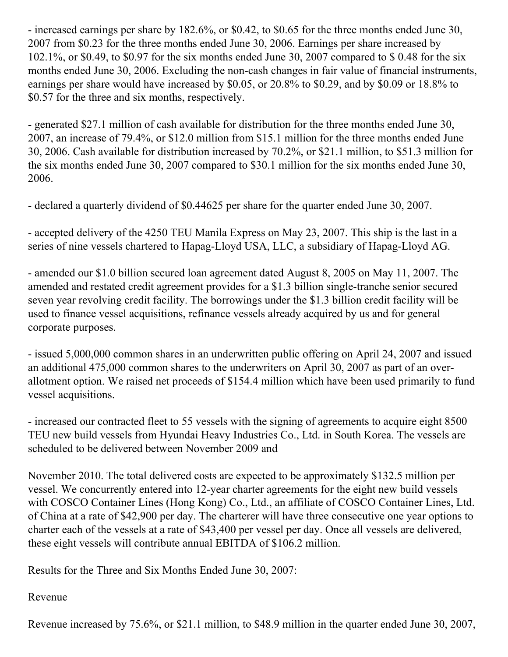- increased earnings per share by 182.6%, or \$0.42, to \$0.65 for the three months ended June 30, 2007 from \$0.23 for the three months ended June 30, 2006. Earnings per share increased by 102.1%, or \$0.49, to \$0.97 for the six months ended June 30, 2007 compared to \$ 0.48 for the six months ended June 30, 2006. Excluding the non-cash changes in fair value of financial instruments, earnings per share would have increased by \$0.05, or 20.8% to \$0.29, and by \$0.09 or 18.8% to \$0.57 for the three and six months, respectively.

- generated \$27.1 million of cash available for distribution for the three months ended June 30, 2007, an increase of 79.4%, or \$12.0 million from \$15.1 million for the three months ended June 30, 2006. Cash available for distribution increased by 70.2%, or \$21.1 million, to \$51.3 million for the six months ended June 30, 2007 compared to \$30.1 million for the six months ended June 30, 2006.

- declared a quarterly dividend of \$0.44625 per share for the quarter ended June 30, 2007.

- accepted delivery of the 4250 TEU Manila Express on May 23, 2007. This ship is the last in a series of nine vessels chartered to Hapag-Lloyd USA, LLC, a subsidiary of Hapag-Lloyd AG.

- amended our \$1.0 billion secured loan agreement dated August 8, 2005 on May 11, 2007. The amended and restated credit agreement provides for a \$1.3 billion single-tranche senior secured seven year revolving credit facility. The borrowings under the \$1.3 billion credit facility will be used to finance vessel acquisitions, refinance vessels already acquired by us and for general corporate purposes.

- issued 5,000,000 common shares in an underwritten public offering on April 24, 2007 and issued an additional 475,000 common shares to the underwriters on April 30, 2007 as part of an overallotment option. We raised net proceeds of \$154.4 million which have been used primarily to fund vessel acquisitions.

- increased our contracted fleet to 55 vessels with the signing of agreements to acquire eight 8500 TEU new build vessels from Hyundai Heavy Industries Co., Ltd. in South Korea. The vessels are scheduled to be delivered between November 2009 and

November 2010. The total delivered costs are expected to be approximately \$132.5 million per vessel. We concurrently entered into 12-year charter agreements for the eight new build vessels with COSCO Container Lines (Hong Kong) Co., Ltd., an affiliate of COSCO Container Lines, Ltd. of China at a rate of \$42,900 per day. The charterer will have three consecutive one year options to charter each of the vessels at a rate of \$43,400 per vessel per day. Once all vessels are delivered, these eight vessels will contribute annual EBITDA of \$106.2 million.

Results for the Three and Six Months Ended June 30, 2007:

# Revenue

Revenue increased by 75.6%, or \$21.1 million, to \$48.9 million in the quarter ended June 30, 2007,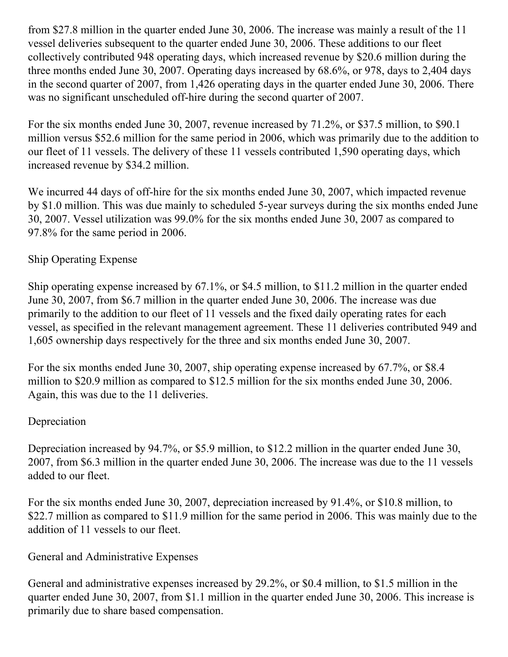from \$27.8 million in the quarter ended June 30, 2006. The increase was mainly a result of the 11 vessel deliveries subsequent to the quarter ended June 30, 2006. These additions to our fleet collectively contributed 948 operating days, which increased revenue by \$20.6 million during the three months ended June 30, 2007. Operating days increased by 68.6%, or 978, days to 2,404 days in the second quarter of 2007, from 1,426 operating days in the quarter ended June 30, 2006. There was no significant unscheduled off-hire during the second quarter of 2007.

For the six months ended June 30, 2007, revenue increased by 71.2%, or \$37.5 million, to \$90.1 million versus \$52.6 million for the same period in 2006, which was primarily due to the addition to our fleet of 11 vessels. The delivery of these 11 vessels contributed 1,590 operating days, which increased revenue by \$34.2 million.

We incurred 44 days of off-hire for the six months ended June 30, 2007, which impacted revenue by \$1.0 million. This was due mainly to scheduled 5-year surveys during the six months ended June 30, 2007. Vessel utilization was 99.0% for the six months ended June 30, 2007 as compared to 97.8% for the same period in 2006.

# Ship Operating Expense

Ship operating expense increased by 67.1%, or \$4.5 million, to \$11.2 million in the quarter ended June 30, 2007, from \$6.7 million in the quarter ended June 30, 2006. The increase was due primarily to the addition to our fleet of 11 vessels and the fixed daily operating rates for each vessel, as specified in the relevant management agreement. These 11 deliveries contributed 949 and 1,605 ownership days respectively for the three and six months ended June 30, 2007.

For the six months ended June 30, 2007, ship operating expense increased by 67.7%, or \$8.4 million to \$20.9 million as compared to \$12.5 million for the six months ended June 30, 2006. Again, this was due to the 11 deliveries.

# Depreciation

Depreciation increased by 94.7%, or \$5.9 million, to \$12.2 million in the quarter ended June 30, 2007, from \$6.3 million in the quarter ended June 30, 2006. The increase was due to the 11 vessels added to our fleet.

For the six months ended June 30, 2007, depreciation increased by 91.4%, or \$10.8 million, to \$22.7 million as compared to \$11.9 million for the same period in 2006. This was mainly due to the addition of 11 vessels to our fleet.

# General and Administrative Expenses

General and administrative expenses increased by 29.2%, or \$0.4 million, to \$1.5 million in the quarter ended June 30, 2007, from \$1.1 million in the quarter ended June 30, 2006. This increase is primarily due to share based compensation.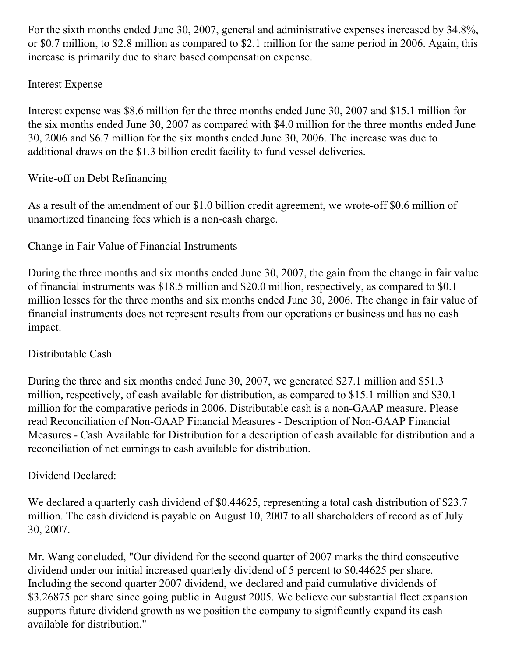For the sixth months ended June 30, 2007, general and administrative expenses increased by 34.8%, or \$0.7 million, to \$2.8 million as compared to \$2.1 million for the same period in 2006. Again, this increase is primarily due to share based compensation expense.

# Interest Expense

Interest expense was \$8.6 million for the three months ended June 30, 2007 and \$15.1 million for the six months ended June 30, 2007 as compared with \$4.0 million for the three months ended June 30, 2006 and \$6.7 million for the six months ended June 30, 2006. The increase was due to additional draws on the \$1.3 billion credit facility to fund vessel deliveries.

# Write-off on Debt Refinancing

As a result of the amendment of our \$1.0 billion credit agreement, we wrote-off \$0.6 million of unamortized financing fees which is a non-cash charge.

Change in Fair Value of Financial Instruments

During the three months and six months ended June 30, 2007, the gain from the change in fair value of financial instruments was \$18.5 million and \$20.0 million, respectively, as compared to \$0.1 million losses for the three months and six months ended June 30, 2006. The change in fair value of financial instruments does not represent results from our operations or business and has no cash impact.

# Distributable Cash

During the three and six months ended June 30, 2007, we generated \$27.1 million and \$51.3 million, respectively, of cash available for distribution, as compared to \$15.1 million and \$30.1 million for the comparative periods in 2006. Distributable cash is a non-GAAP measure. Please read Reconciliation of Non-GAAP Financial Measures - Description of Non-GAAP Financial Measures - Cash Available for Distribution for a description of cash available for distribution and a reconciliation of net earnings to cash available for distribution.

# Dividend Declared:

We declared a quarterly cash dividend of \$0.44625, representing a total cash distribution of \$23.7 million. The cash dividend is payable on August 10, 2007 to all shareholders of record as of July 30, 2007.

Mr. Wang concluded, "Our dividend for the second quarter of 2007 marks the third consecutive dividend under our initial increased quarterly dividend of 5 percent to \$0.44625 per share. Including the second quarter 2007 dividend, we declared and paid cumulative dividends of \$3.26875 per share since going public in August 2005. We believe our substantial fleet expansion supports future dividend growth as we position the company to significantly expand its cash available for distribution."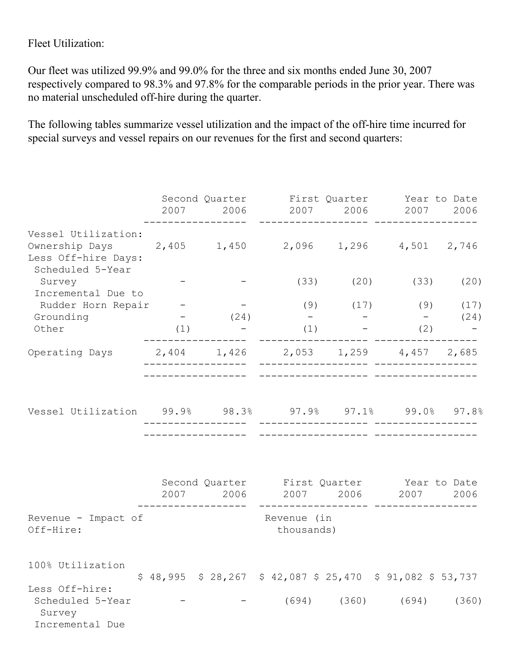Fleet Utilization:

Our fleet was utilized 99.9% and 99.0% for the three and six months ended June 30, 2007 respectively compared to 98.3% and 97.8% for the comparable periods in the prior year. There was no material unscheduled off-hire during the quarter.

The following tables summarize vessel utilization and the impact of the off-hire time incurred for special surveys and vessel repairs on our revenues for the first and second quarters:

|                                                                                                                      |     |          | Second Quarter First Quarter Year to Date<br>2007 2006 2007 2006 2007 |                           |     | 2006  |
|----------------------------------------------------------------------------------------------------------------------|-----|----------|-----------------------------------------------------------------------|---------------------------|-----|-------|
| Vessel Utilization:<br>Ownership Days 2,405 1,450 2,096 1,296 4,501 2,746<br>Less Off-hire Days:<br>Scheduled 5-Year |     |          |                                                                       |                           |     |       |
| Survey<br>Incremental Due to                                                                                         |     |          |                                                                       | $(33)$ $(20)$ $(33)$      |     | (20)  |
| Rudder Horn Repair -                                                                                                 |     |          |                                                                       | $(9)$ $(17)$ $(9)$ $(17)$ |     |       |
| Grounding                                                                                                            |     | $-$ (24) |                                                                       | $    (24)$                |     |       |
| Other                                                                                                                | (1) |          |                                                                       | (1)                       | (2) |       |
| Operating Days 2,404 1,426 2,053 1,259 4,457 2,685                                                                   |     |          |                                                                       |                           |     |       |
| Vessel Utilization 99.9% 98.3% 97.9% 97.1% 99.0% 97.8%                                                               |     |          |                                                                       |                           |     |       |
|                                                                                                                      |     |          | Second Quarter First Quarter Year to Date                             |                           |     |       |
|                                                                                                                      |     |          | 2007 2006 2007 2006 2007 2006                                         |                           |     |       |
| Revenue - Impact of<br>Off-Hire:                                                                                     |     |          | Revenue (in<br>thousands)                                             |                           |     |       |
| 100% Utilization                                                                                                     |     |          | $$48,995$ $$28,267$ $$42,087$ $$25,470$ $$91,082$ $$53,737$           |                           |     |       |
| Less Off-hire:<br>Scheduled 5-Year<br>Survey<br>Incremental Due                                                      |     |          |                                                                       | $(694)$ $(360)$ $(694)$   |     | (360) |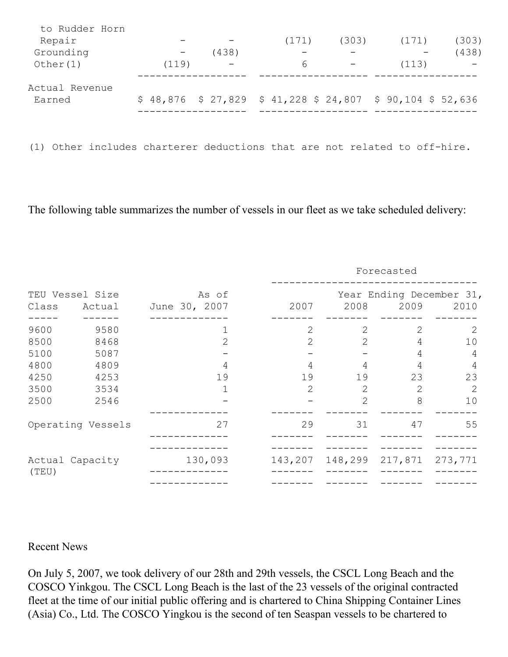| to Rudder Horn |       |       |                                                             |       |       |       |
|----------------|-------|-------|-------------------------------------------------------------|-------|-------|-------|
| Repair         |       |       | (171)                                                       | (303) | (171) | (303) |
| Grounding      |       | (438) |                                                             |       |       | (438) |
| Other $(1)$    | (119) |       | 6                                                           |       | (113) |       |
|                |       |       |                                                             |       |       |       |
| Actual Revenue |       |       |                                                             |       |       |       |
| Earned         |       |       | $$48,876$ $$27,829$ $$41,228$ $$24,807$ $$90,104$ $$52,636$ |       |       |       |
|                |       |       |                                                             |       |       |       |
|                |       |       |                                                             |       |       |       |
|                |       |       |                                                             |       |       |       |

(1) Other includes charterer deductions that are not related to off-hire.

The following table summarizes the number of vessels in our fleet as we take scheduled delivery:

|                                                      |                                                      |                        |                                     |                                                       | Forecasted                       |                                    |
|------------------------------------------------------|------------------------------------------------------|------------------------|-------------------------------------|-------------------------------------------------------|----------------------------------|------------------------------------|
| Class                                                | TEU Vessel Size<br>Actual                            | As of<br>June 30, 2007 | 2007                                | 2008                                                  | 2009                             | Year Ending December 31,<br>2010   |
| 9600<br>8500<br>5100<br>4800<br>4250<br>3500<br>2500 | 9580<br>8468<br>5087<br>4809<br>4253<br>3534<br>2546 | 1<br>2<br>4<br>19<br>1 | 2<br>2<br>4<br>19<br>$\overline{2}$ | 2<br>$\overline{2}$<br>4<br>19<br>2<br>$\overline{2}$ | 2<br>4<br>4<br>4<br>23<br>2<br>8 | 2<br>10<br>4<br>4<br>23<br>2<br>10 |
| (TEU)                                                | Operating Vessels<br>Actual Capacity                 | 27<br>130,093          | 29<br>143,207                       | 31<br>148,299                                         | 47<br>217,871                    | 55<br>273,771                      |

#### Recent News

On July 5, 2007, we took delivery of our 28th and 29th vessels, the CSCL Long Beach and the COSCO Yinkgou. The CSCL Long Beach is the last of the 23 vessels of the original contracted fleet at the time of our initial public offering and is chartered to China Shipping Container Lines (Asia) Co., Ltd. The COSCO Yingkou is the second of ten Seaspan vessels to be chartered to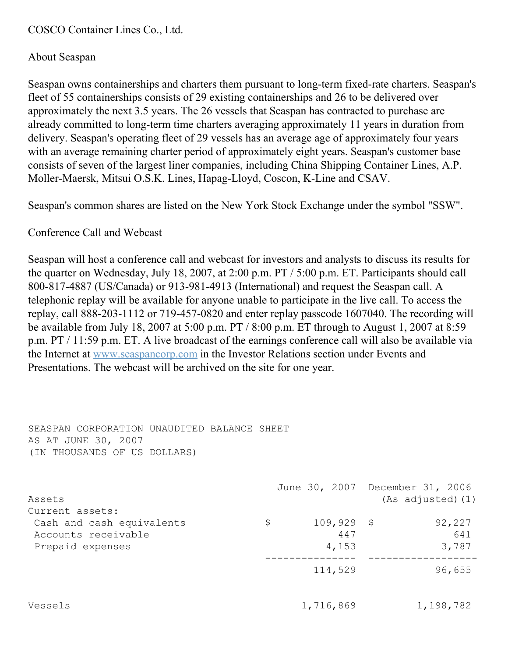COSCO Container Lines Co., Ltd.

# About Seaspan

Seaspan owns containerships and charters them pursuant to long-term fixed-rate charters. Seaspan's fleet of 55 containerships consists of 29 existing containerships and 26 to be delivered over approximately the next 3.5 years. The 26 vessels that Seaspan has contracted to purchase are already committed to long-term time charters averaging approximately 11 years in duration from delivery. Seaspan's operating fleet of 29 vessels has an average age of approximately four years with an average remaining charter period of approximately eight years. Seaspan's customer base consists of seven of the largest liner companies, including China Shipping Container Lines, A.P. Moller-Maersk, Mitsui O.S.K. Lines, Hapag-Lloyd, Coscon, K-Line and CSAV.

Seaspan's common shares are listed on the New York Stock Exchange under the symbol "SSW".

### Conference Call and Webcast

Seaspan will host a conference call and webcast for investors and analysts to discuss its results for the quarter on Wednesday, July 18, 2007, at 2:00 p.m. PT / 5:00 p.m. ET. Participants should call 800-817-4887 (US/Canada) or 913-981-4913 (International) and request the Seaspan call. A telephonic replay will be available for anyone unable to participate in the live call. To access the replay, call 888-203-1112 or 719-457-0820 and enter replay passcode 1607040. The recording will be available from July 18, 2007 at 5:00 p.m. PT / 8:00 p.m. ET through to August 1, 2007 at 8:59 p.m. PT / 11:59 p.m. ET. A live broadcast of the earnings conference call will also be available via the Internet at [www.seaspancorp.com](http://www.seaspancorp.com/) in the Investor Relations section under Events and Presentations. The webcast will be archived on the site for one year.

SEASPAN CORPORATION UNAUDITED BALANCE SHEET AS AT JUNE 30, 2007 (IN THOUSANDS OF US DOLLARS)

| Assets<br>Current assets:                                            |           |                              | June 30, 2007 December 31, 2006<br>(As adjusted) (1) |
|----------------------------------------------------------------------|-----------|------------------------------|------------------------------------------------------|
| Cash and cash equivalents<br>Accounts receivable<br>Prepaid expenses | \$.       | $109,929$ \$<br>447<br>4,153 | 92,227<br>641<br>3,787                               |
|                                                                      |           | 114,529                      | 96,655                                               |
| Vessels                                                              | 1,716,869 |                              | 1,198,782                                            |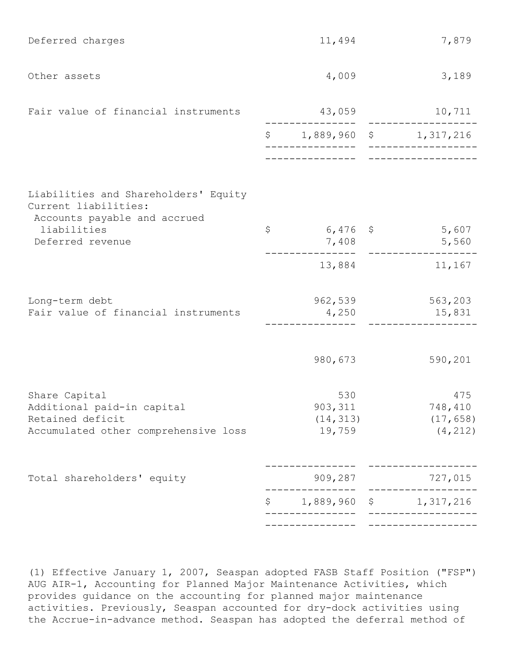| Deferred charges                                                                                        | 11,494                                 | 7,879                                   |
|---------------------------------------------------------------------------------------------------------|----------------------------------------|-----------------------------------------|
| Other assets                                                                                            | 4,009                                  | 3,189                                   |
| Fair value of financial instruments                                                                     | 43,059                                 | 10,711                                  |
|                                                                                                         |                                        | $$1,889,960$ \$ 1,317,216               |
|                                                                                                         |                                        |                                         |
| Liabilities and Shareholders' Equity<br>Current liabilities:                                            |                                        |                                         |
| Accounts payable and accrued<br>liabilities<br>Deferred revenue                                         | \$<br>$6,476$ \$<br>7,408              | 5,607<br>5,560                          |
|                                                                                                         | 13,884                                 | 11,167                                  |
| Long-term debt                                                                                          | 962,539                                | 563,203                                 |
| Fair value of financial instruments                                                                     | 4,250                                  | 15,831                                  |
|                                                                                                         | 980,673                                | 590,201                                 |
| Share Capital<br>Additional paid-in capital<br>Retained deficit<br>Accumulated other comprehensive loss | 530<br>903, 311<br>(14, 313)<br>19,759 | 475<br>748,410<br>(17, 658)<br>(4, 212) |
| Total shareholders' equity                                                                              | 909,287                                | 727,015                                 |
|                                                                                                         | \$                                     | 1,889,960 \$ 1,317,216                  |
|                                                                                                         |                                        |                                         |

(1) Effective January 1, 2007, Seaspan adopted FASB Staff Position ("FSP") AUG AIR-1, Accounting for Planned Major Maintenance Activities, which provides guidance on the accounting for planned major maintenance activities. Previously, Seaspan accounted for dry-dock activities using the Accrue-in-advance method. Seaspan has adopted the deferral method of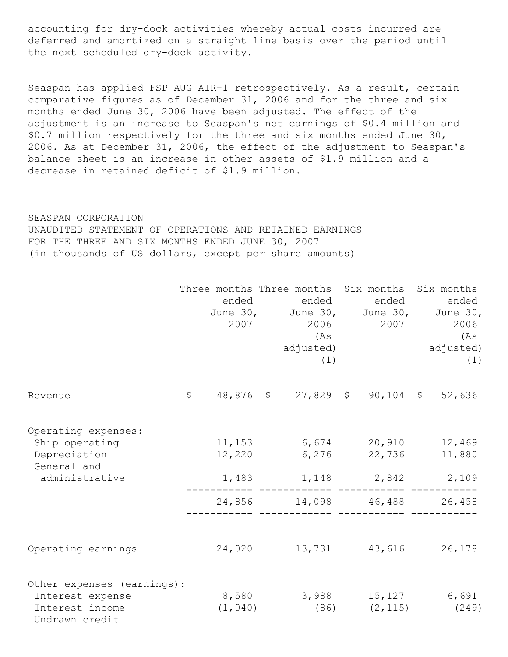accounting for dry-dock activities whereby actual costs incurred are deferred and amortized on a straight line basis over the period until the next scheduled dry-dock activity.

Seaspan has applied FSP AUG AIR-1 retrospectively. As a result, certain comparative figures as of December 31, 2006 and for the three and six months ended June 30, 2006 have been adjusted. The effect of the adjustment is an increase to Seaspan's net earnings of \$0.4 million and \$0.7 million respectively for the three and six months ended June 30, 2006. As at December 31, 2006, the effect of the adjustment to Seaspan's balance sheet is an increase in other assets of \$1.9 million and a decrease in retained deficit of \$1.9 million.

#### SEASPAN CORPORATION

UNAUDITED STATEMENT OF OPERATIONS AND RETAINED EARNINGS FOR THE THREE AND SIX MONTHS ENDED JUNE 30, 2007 (in thousands of US dollars, except per share amounts)

|                                                                                        | ended<br>2007             | Three months Three months Six months Six months<br>ended<br>June 30, June 30, June 30, June 30,<br>2006 700<br>(As<br>adjusted)<br>(1) | ended         | ended<br>2006<br>(As<br>adjusted)<br>(1) |
|----------------------------------------------------------------------------------------|---------------------------|----------------------------------------------------------------------------------------------------------------------------------------|---------------|------------------------------------------|
| Revenue                                                                                | \$                        | 48,876 \$ 27,829 \$ 90,104 \$                                                                                                          |               | 52,636                                   |
| Operating expenses:<br>Ship operating<br>Depreciation<br>General and<br>administrative | 11,153<br>12,220<br>1,483 | 6,674 20,910<br>6,276<br>1, 148 2, 842 2, 109                                                                                          | 22,736        | 12,469<br>11,880                         |
|                                                                                        | 24,856                    |                                                                                                                                        | 14,098 46,488 | 26,458                                   |
| Operating earnings                                                                     | 24,020                    |                                                                                                                                        | 13,731 43,616 | 26,178                                   |
| Other expenses (earnings):<br>Interest expense<br>Interest income<br>Undrawn credit    | 8,580<br>(1,040)          | 3,988 15,127 6,691<br>(86)                                                                                                             | (2, 115)      | (249)                                    |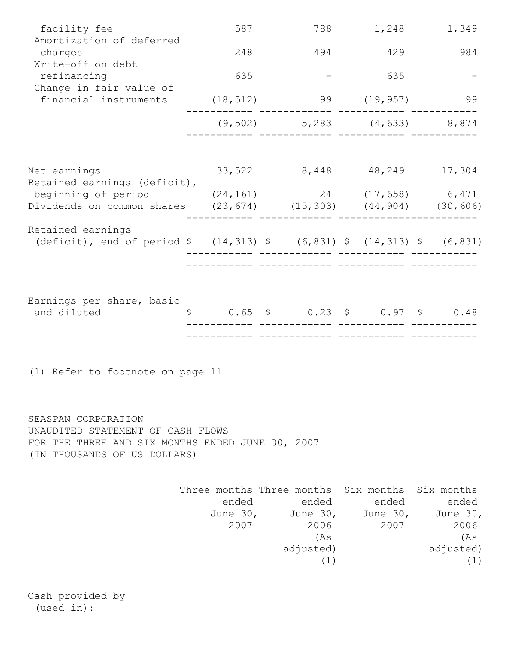| facility fee                                                                                                                                         | 587           |                                                                                                                                    | 788 1,248 1,349   |                                          |
|------------------------------------------------------------------------------------------------------------------------------------------------------|---------------|------------------------------------------------------------------------------------------------------------------------------------|-------------------|------------------------------------------|
| Amortization of deferred<br>charges                                                                                                                  | 248           | 494                                                                                                                                | 429               | 984                                      |
| Write-off on debt                                                                                                                                    |               |                                                                                                                                    |                   |                                          |
| refinancing                                                                                                                                          | 635           |                                                                                                                                    | 635               |                                          |
| Change in fair value of<br>financial instruments                                                                                                     |               | $(18, 512)$ 99 $(19, 957)$                                                                                                         |                   | 99                                       |
|                                                                                                                                                      |               | $(9, 502)$ 5, 283 $(4, 633)$ 8, 874                                                                                                |                   |                                          |
| Net earnings<br>Retained earnings (deficit),                                                                                                         | 33,522        |                                                                                                                                    | 8,448 48,249      | 17,304                                   |
| beginning of period (24,161)<br>Dividends on common shares (23,674) (15,303) (44,904) (30,606)                                                       |               |                                                                                                                                    | 24 (17,658) 6,471 |                                          |
| Retained earnings<br>(deficit), end of period $\frac{14,313}{9}$ $\frac{14,831}{9}$ $\frac{14,313}{9}$ $\frac{14,313}{9}$ $\frac{14,313}{9}$ (6,831) |               |                                                                                                                                    |                   |                                          |
| Earnings per share, basic<br>and diluted                                                                                                             |               | $$0.65$ \$ $0.23$ \$ $0.97$ \$ $0.48$                                                                                              |                   |                                          |
| (1) Refer to footnote on page 11                                                                                                                     |               |                                                                                                                                    |                   |                                          |
| SEASPAN CORPORATION<br>UNAUDITED STATEMENT OF CASH FLOWS<br>FOR THE THREE AND SIX MONTHS ENDED JUNE 30, 2007<br>(IN THOUSANDS OF US DOLLARS)         |               |                                                                                                                                    |                   |                                          |
|                                                                                                                                                      | ended<br>2007 | Three months Three months Six months Six months<br>ended<br>June 30, June 30, June 30, June 30,<br>2006<br>(As<br>adjusted)<br>(1) | ended<br>2007     | ended<br>2006<br>(As<br>adjusted)<br>(1) |

Cash provided by (used in):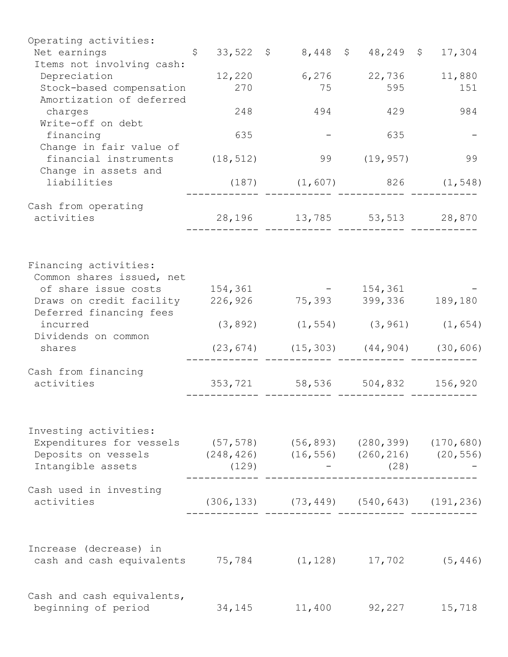| Operating activities:                                          |                     |           |                                                    |                       |          |
|----------------------------------------------------------------|---------------------|-----------|----------------------------------------------------|-----------------------|----------|
| Net earnings                                                   | $\ddot{\mathsf{S}}$ |           | 33,522 \$ 8,448 \$ 48,249 \$ 17,304                |                       |          |
| Items not involving cash:                                      |                     |           |                                                    |                       |          |
| Depreciation                                                   |                     | 12,220    | 6,276                                              | 22,736                | 11,880   |
| Stock-based compensation<br>Amortization of deferred           |                     | 270       | 75                                                 | 595                   | 151      |
| charges                                                        |                     | 248       | 494                                                | 429                   | 984      |
| Write-off on debt                                              |                     |           |                                                    |                       |          |
| financing<br>Change in fair value of                           |                     | 635       |                                                    | 635                   |          |
| financial instruments                                          |                     | (18, 512) | 99                                                 | (19, 957)             | 99       |
| Change in assets and                                           |                     |           |                                                    |                       |          |
| liabilities                                                    |                     |           | $(187)$ $(1,607)$ 826 $(1,548)$                    |                       |          |
| Cash from operating                                            |                     |           |                                                    |                       |          |
| activities                                                     |                     |           | 28, 196 13, 785 53, 513 28, 870                    |                       |          |
|                                                                |                     |           |                                                    |                       |          |
| Financing activities:                                          |                     |           |                                                    |                       |          |
| Common shares issued, net                                      |                     |           |                                                    |                       |          |
| of share issue costs                                           |                     | 154,361   |                                                    | 154,361               |          |
| Draws on credit facility                                       |                     | 226,926   | 75,393                                             | 399,336 189,180       |          |
| Deferred financing fees<br>incurred                            |                     | (3, 892)  |                                                    | $(1, 554)$ $(3, 961)$ | (1, 654) |
| Dividends on common                                            |                     |           |                                                    |                       |          |
| shares                                                         |                     |           | $(23, 674)$ $(15, 303)$ $(44, 904)$ $(30, 606)$    |                       |          |
| Cash from financing                                            |                     |           |                                                    |                       |          |
| activities                                                     |                     | 353,721   | 58,536 504,832 156,920                             |                       |          |
|                                                                |                     |           |                                                    |                       |          |
| Investing activities:                                          |                     |           |                                                    |                       |          |
| Expenditures for vessels (57,578) (56,893) (280,399) (170,680) |                     |           |                                                    |                       |          |
| Deposits on vessels (248,426) (16,556) (260,216) (20,556)      |                     |           |                                                    |                       |          |
| Intangible assets                                              |                     | (129)     |                                                    | $-$ (28)              |          |
| Cash used in investing                                         |                     |           |                                                    |                       |          |
| activities                                                     |                     |           | $(306, 133)$ $(73, 449)$ $(540, 643)$ $(191, 236)$ |                       |          |
|                                                                |                     |           |                                                    |                       |          |
| Increase (decrease) in                                         |                     |           |                                                    |                       |          |
| cash and cash equivalents 75,784 (1,128) 17,702 (5,446)        |                     |           |                                                    |                       |          |
| Cash and cash equivalents,                                     |                     |           |                                                    |                       |          |
| beginning of period                                            |                     | 34,145    | 11,400                                             | 92,227                | 15,718   |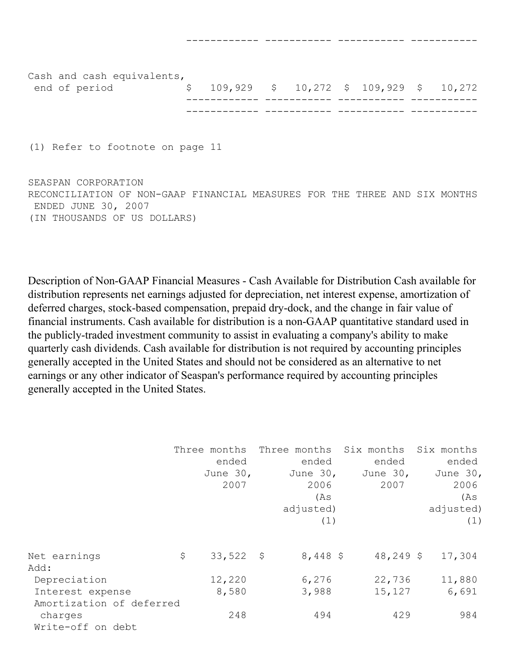| end of period |                            | $\frac{109}{272}$ \$ 10,272 \$ 109,929 \$ 10,272 |  |  |  |
|---------------|----------------------------|--------------------------------------------------|--|--|--|
|               | Cash and cash equivalents, |                                                  |  |  |  |

------------ ----------- ----------- -----------

(1) Refer to footnote on page 11

SEASPAN CORPORATION RECONCILIATION OF NON-GAAP FINANCIAL MEASURES FOR THE THREE AND SIX MONTHS ENDED JUNE 30, 2007 (IN THOUSANDS OF US DOLLARS)

Description of Non-GAAP Financial Measures - Cash Available for Distribution Cash available for distribution represents net earnings adjusted for depreciation, net interest expense, amortization of deferred charges, stock-based compensation, prepaid dry-dock, and the change in fair value of financial instruments. Cash available for distribution is a non-GAAP quantitative standard used in the publicly-traded investment community to assist in evaluating a company's ability to make quarterly cash dividends. Cash available for distribution is not required by accounting principles generally accepted in the United States and should not be considered as an alternative to net earnings or any other indicator of Seaspan's performance required by accounting principles generally accepted in the United States.

|                          | Three months      |            | Three months Six months Six months |           |
|--------------------------|-------------------|------------|------------------------------------|-----------|
|                          | ended             | ended      | ended                              | ended     |
|                          | June $30r$        | June 30,   | June 30,                           | June 30,  |
|                          | 2007              | 2006       | 2007                               | 2006      |
|                          |                   | (As        |                                    | (As       |
|                          |                   | adjusted)  |                                    | adjusted) |
|                          |                   | (1)        |                                    | (1)       |
|                          |                   |            |                                    |           |
| Net earnings             | \$<br>$33,522$ \$ | $8,448$ \$ | $48,249$ \$                        | 17,304    |
| Add:                     |                   |            |                                    |           |
| Depreciation             | 12,220            | 6,276      | 22,736                             | 11,880    |
| Interest expense         | 8,580             | 3,988      | 15,127                             | 6,691     |
| Amortization of deferred |                   |            |                                    |           |
| charges                  | 248               | 494        | 429                                | 984       |
| Write-off on debt        |                   |            |                                    |           |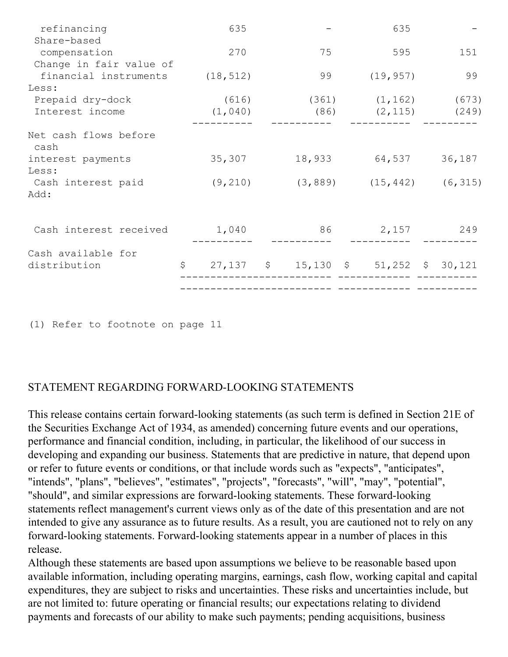| refinancing                        | 635       |                                      | 635                               |        |
|------------------------------------|-----------|--------------------------------------|-----------------------------------|--------|
| Share-based<br>compensation        | 270       | 75                                   | 595                               | 151    |
| Change in fair value of            |           |                                      |                                   |        |
| financial instruments              | (18, 512) | 99                                   | (19, 957)                         | 99     |
| Less:                              |           |                                      |                                   |        |
| Prepaid dry-dock                   | (616)     |                                      | $(361)$ $(1, 162)$                | (673)  |
| Interest income                    | (1, 040)  |                                      | $(86)$ $(2, 115)$ $(249)$         |        |
| Net cash flows before<br>cash      |           |                                      |                                   |        |
| interest payments<br>Less:         | 35,307    |                                      | 18,933 64,537                     | 36,187 |
| Cash interest paid<br>Add:         | (9, 210)  |                                      | $(3, 889)$ $(15, 442)$ $(6, 315)$ |        |
| Cash interest received             | 1,040     | 86                                   | 2,157                             | 249    |
| Cash available for<br>distribution | \$        | 27,137 \$ 15,130 \$ 51,252 \$ 30,121 |                                   |        |
|                                    |           |                                      |                                   |        |

<sup>(1)</sup> Refer to footnote on page 11

# STATEMENT REGARDING FORWARD-LOOKING STATEMENTS

This release contains certain forward-looking statements (as such term is defined in Section 21E of the Securities Exchange Act of 1934, as amended) concerning future events and our operations, performance and financial condition, including, in particular, the likelihood of our success in developing and expanding our business. Statements that are predictive in nature, that depend upon or refer to future events or conditions, or that include words such as "expects", "anticipates", "intends", "plans", "believes", "estimates", "projects", "forecasts", "will", "may", "potential", "should", and similar expressions are forward-looking statements. These forward-looking statements reflect management's current views only as of the date of this presentation and are not intended to give any assurance as to future results. As a result, you are cautioned not to rely on any forward-looking statements. Forward-looking statements appear in a number of places in this release.

Although these statements are based upon assumptions we believe to be reasonable based upon available information, including operating margins, earnings, cash flow, working capital and capital expenditures, they are subject to risks and uncertainties. These risks and uncertainties include, but are not limited to: future operating or financial results; our expectations relating to dividend payments and forecasts of our ability to make such payments; pending acquisitions, business